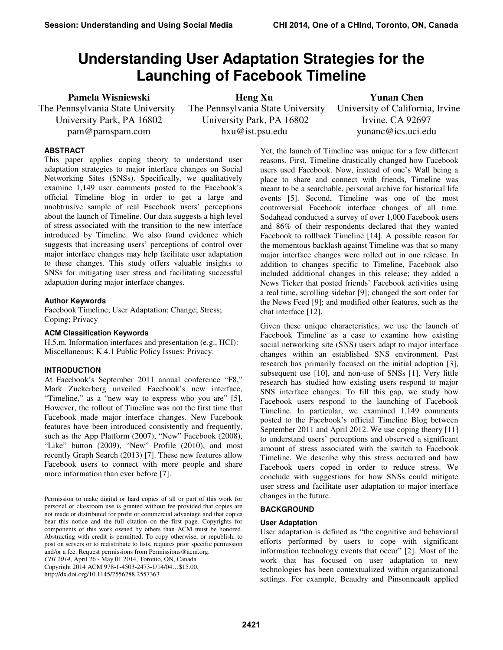# **Understanding User Adaptation Strategies for the Launching of Facebook Timeline**

**Pamela Wisniewski**  The Pennsylvania State University University Park, PA 16802 pam@pamspam.com

**Heng Xu**  The Pennsylvania State University University Park, PA 16802 hxu@ist.psu.edu

**Yunan Chen**  University of California, Irvine Irvine, CA 92697 yunanc@ics.uci.edu

# **ABSTRACT**

This paper applies coping theory to understand user adaptation strategies to major interface changes on Social Networking Sites (SNSs). Specifically, we qualitatively examine 1,149 user comments posted to the Facebook's official Timeline blog in order to get a large and unobtrusive sample of real Facebook users' perceptions about the launch of Timeline. Our data suggests a high level of stress associated with the transition to the new interface introduced by Timeline. We also found evidence which suggests that increasing users' perceptions of control over major interface changes may help facilitate user adaptation to these changes. This study offers valuable insights to SNSs for mitigating user stress and facilitating successful adaptation during major interface changes.

# **Author Keywords**

Facebook Timeline; User Adaptation; Change; Stress; Coping; Privacy

# **ACM Classification Keywords**

H.5.m. Information interfaces and presentation (e.g., HCI): Miscellaneous; K.4.1 Public Policy Issues: Privacy.

# **INTRODUCTION**

At Facebook's September 2011 annual conference "F8," Mark Zuckerberg unveiled Facebook's new interface, "Timeline," as a "new way to express who you are" [5]. However, the rollout of Timeline was not the first time that Facebook made major interface changes. New Facebook features have been introduced consistently and frequently, such as the App Platform (2007), "New" Facebook (2008), "Like" button (2009), "New" Profile (2010), and most recently Graph Search (2013) [7]. These new features allow Facebook users to connect with more people and share more information than ever before [7].

Permission to make digital or hard copies of all or part of this work for personal or classroom use is granted without fee provided that copies are not made or distributed for profit or commercial advantage and that copies bear this notice and the full citation on the first page. Copyrights for components of this work owned by others than ACM must be honored. Abstracting with credit is permitted. To copy otherwise, or republish, to post on servers or to redistribute to lists, requires prior specific permission and/or a fee. Request permissions from Permissions@acm.org. *CHI 2014*, April 26 - May 01 2014, Toronto, ON, Canada Copyright 2014 ACM 978-1-4503-2473-1/14/04…\$15.00. http://dx.doi.org/10.1145/2556288.2557363

Yet, the launch of Timeline was unique for a few different reasons. First, Timeline drastically changed how Facebook users used Facebook. Now, instead of one's Wall being a place to share and connect with friends, Timeline was meant to be a searchable, personal archive for historical life events [5]. Second, Timeline was one of the most controversial Facebook interface changes of all time. Sodahead conducted a survey of over 1,000 Facebook users and 86% of their respondents declared that they wanted Facebook to rollback Timeline [14]. A possible reason for the momentous backlash against Timeline was that so many major interface changes were rolled out in one release. In addition to changes specific to Timeline, Facebook also included additional changes in this release; they added a News Ticker that posted friends' Facebook activities using a real time, scrolling sidebar [9]; changed the sort order for the News Feed [9]; and modified other features, such as the chat interface [12].

Given these unique characteristics, we use the launch of Facebook Timeline as a case to examine how existing social networking site (SNS) users adapt to major interface changes within an established SNS environment. Past research has primarily focused on the initial adoption [3], subsequent use [10], and non-use of SNSs [1]. Very little research has studied how existing users respond to major SNS interface changes. To fill this gap, we study how Facebook users respond to the launching of Facebook Timeline. In particular, we examined 1,149 comments posted to the Facebook's official Timeline Blog between September 2011 and April 2012. We use coping theory [11] to understand users' perceptions and observed a significant amount of stress associated with the switch to Facebook Timeline. We describe why this stress occurred and how Facebook users coped in order to reduce stress. We conclude with suggestions for how SNSs could mitigate user stress and facilitate user adaptation to major interface changes in the future.

## **BACKGROUND**

## **User Adaptation**

User adaptation is defined as "the cognitive and behavioral efforts performed by users to cope with significant information technology events that occur" [2]. Most of the work that has focused on user adaptation to new technologies has been contextualized within organizational settings. For example, Beaudry and Pinsonneault applied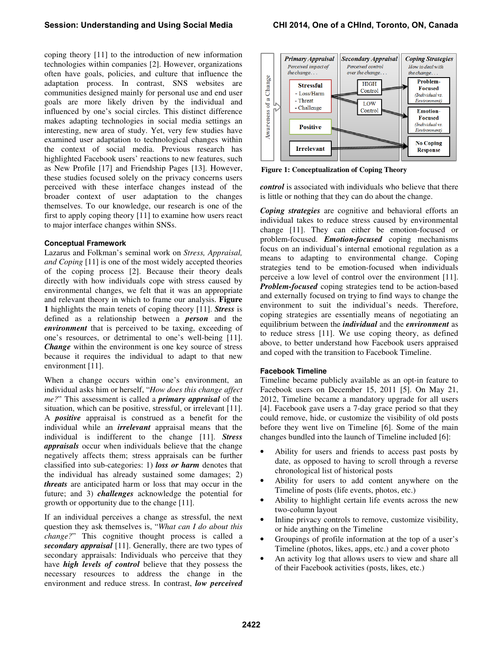coping theory [11] to the introduction of new information technologies within companies [2]. However, organizations often have goals, policies, and culture that influence the adaptation process. In contrast, SNS websites are communities designed mainly for personal use and end user goals are more likely driven by the individual and influenced by one's social circles. This distinct difference makes adapting technologies in social media settings an interesting, new area of study. Yet, very few studies have examined user adaptation to technological changes within the context of social media. Previous research has highlighted Facebook users' reactions to new features, such as New Profile [17] and Friendship Pages [13]. However, these studies focused solely on the privacy concerns users perceived with these interface changes instead of the broader context of user adaptation to the changes themselves. To our knowledge, our research is one of the first to apply coping theory [11] to examine how users react to major interface changes within SNSs.

#### **Conceptual Framework**

Lazarus and Folkman's seminal work on *Stress, Appraisal, and Coping* [11] is one of the most widely accepted theories of the coping process [2]. Because their theory deals directly with how individuals cope with stress caused by environmental changes, we felt that it was an appropriate and relevant theory in which to frame our analysis. **Figure 1** highlights the main tenets of coping theory [11]. *Stress* is defined as a relationship between a *person* and the *environment* that is perceived to be taxing, exceeding of one's resources, or detrimental to one's well-being [11]. *Change* within the environment is one key source of stress because it requires the individual to adapt to that new environment [11].

When a change occurs within one's environment, an individual asks him or herself, "*How does this change affect me?*" This assessment is called a *primary appraisal* of the situation, which can be positive, stressful, or irrelevant [11]. A *positive* appraisal is construed as a benefit for the individual while an *irrelevant* appraisal means that the individual is indifferent to the change [11]. *Stress appraisals* occur when individuals believe that the change negatively affects them; stress appraisals can be further classified into sub-categories: 1) *loss or harm* denotes that the individual has already sustained some damages; 2) *threats* are anticipated harm or loss that may occur in the future; and 3) *challenges* acknowledge the potential for growth or opportunity due to the change [11].

If an individual perceives a change as stressful, the next question they ask themselves is, "*What can I do about this change?*" This cognitive thought process is called a *secondary appraisal* [11]. Generally, there are two types of secondary appraisals: Individuals who perceive that they have *high levels of control* believe that they possess the necessary resources to address the change in the environment and reduce stress. In contrast, *low perceived* 



**Figure 1: Conceptualization of Coping Theory** 

*control* is associated with individuals who believe that there is little or nothing that they can do about the change.

*Coping strategies* are cognitive and behavioral efforts an individual takes to reduce stress caused by environmental change [11]. They can either be emotion-focused or problem-focused. *Emotion-focused* coping mechanisms focus on an individual's internal emotional regulation as a means to adapting to environmental change. Coping strategies tend to be emotion-focused when individuals perceive a low level of control over the environment [11]. *Problem-focused* coping strategies tend to be action-based and externally focused on trying to find ways to change the environment to suit the individual's needs. Therefore, coping strategies are essentially means of negotiating an equilibrium between the *individual* and the *environment* as to reduce stress [11]. We use coping theory, as defined above, to better understand how Facebook users appraised and coped with the transition to Facebook Timeline.

#### **Facebook Timeline**

Timeline became publicly available as an opt-in feature to Facebook users on December 15, 2011 [5]. On May 21, 2012, Timeline became a mandatory upgrade for all users [4]. Facebook gave users a 7-day grace period so that they could remove, hide, or customize the visibility of old posts before they went live on Timeline [6]. Some of the main changes bundled into the launch of Timeline included [6]:

- Ability for users and friends to access past posts by date, as opposed to having to scroll through a reverse chronological list of historical posts
- Ability for users to add content anywhere on the Timeline of posts (life events, photos, etc.)
- Ability to highlight certain life events across the new two-column layout
- Inline privacy controls to remove, customize visibility, or hide anything on the Timeline
- Groupings of profile information at the top of a user's Timeline (photos, likes, apps, etc.) and a cover photo
- An activity log that allows users to view and share all of their Facebook activities (posts, likes, etc.)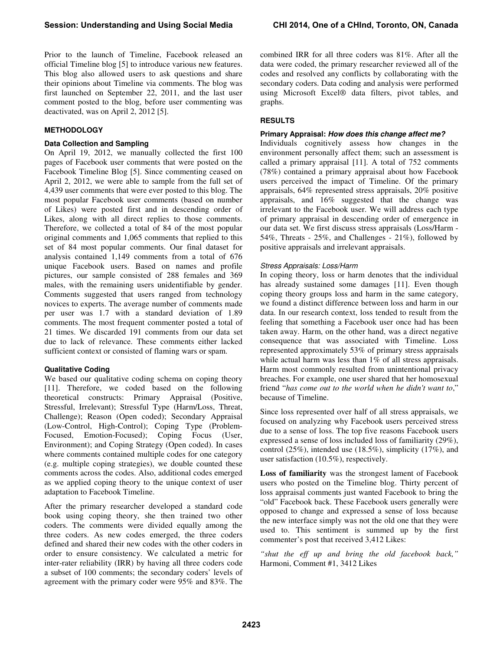Prior to the launch of Timeline, Facebook released an official Timeline blog [5] to introduce various new features. This blog also allowed users to ask questions and share their opinions about Timeline via comments. The blog was first launched on September 22, 2011, and the last user comment posted to the blog, before user commenting was deactivated, was on April 2, 2012 [5].

# **METHODOLOGY**

## **Data Collection and Sampling**

On April 19, 2012, we manually collected the first 100 pages of Facebook user comments that were posted on the Facebook Timeline Blog [5]. Since commenting ceased on April 2, 2012, we were able to sample from the full set of 4,439 user comments that were ever posted to this blog. The most popular Facebook user comments (based on number of Likes) were posted first and in descending order of Likes, along with all direct replies to those comments. Therefore, we collected a total of 84 of the most popular original comments and 1,065 comments that replied to this set of 84 most popular comments. Our final dataset for analysis contained 1,149 comments from a total of 676 unique Facebook users. Based on names and profile pictures, our sample consisted of 288 females and 369 males, with the remaining users unidentifiable by gender. Comments suggested that users ranged from technology novices to experts. The average number of comments made per user was 1.7 with a standard deviation of 1.89 comments. The most frequent commenter posted a total of 21 times. We discarded 191 comments from our data set due to lack of relevance. These comments either lacked sufficient context or consisted of flaming wars or spam.

## **Qualitative Coding**

We based our qualitative coding schema on coping theory [11]. Therefore, we coded based on the following theoretical constructs: Primary Appraisal (Positive, Stressful, Irrelevant); Stressful Type (Harm/Loss, Threat, Challenge); Reason (Open coded); Secondary Appraisal (Low-Control, High-Control); Coping Type (Problem-Focused, Emotion-Focused); Coping Focus (User, Environment); and Coping Strategy (Open coded). In cases where comments contained multiple codes for one category (e.g. multiple coping strategies), we double counted these comments across the codes. Also, additional codes emerged as we applied coping theory to the unique context of user adaptation to Facebook Timeline.

After the primary researcher developed a standard code book using coping theory, she then trained two other coders. The comments were divided equally among the three coders. As new codes emerged, the three coders defined and shared their new codes with the other coders in order to ensure consistency. We calculated a metric for inter-rater reliability (IRR) by having all three coders code a subset of 100 comments; the secondary coders' levels of agreement with the primary coder were 95% and 83%. The

combined IRR for all three coders was 81%. After all the data were coded, the primary researcher reviewed all of the codes and resolved any conflicts by collaborating with the secondary coders. Data coding and analysis were performed using Microsoft Excel® data filters, pivot tables, and graphs.

## **RESULTS**

## **Primary Appraisal: How does this change affect me?**

Individuals cognitively assess how changes in the environment personally affect them; such an assessment is called a primary appraisal [11]. A total of 752 comments (78%) contained a primary appraisal about how Facebook users perceived the impact of Timeline. Of the primary appraisals, 64% represented stress appraisals, 20% positive appraisals, and 16% suggested that the change was irrelevant to the Facebook user. We will address each type of primary appraisal in descending order of emergence in our data set. We first discuss stress appraisals (Loss/Harm - 54%, Threats - 25%, and Challenges - 21%), followed by positive appraisals and irrelevant appraisals.

#### Stress Appraisals: Loss/Harm

In coping theory, loss or harm denotes that the individual has already sustained some damages [11]. Even though coping theory groups loss and harm in the same category, we found a distinct difference between loss and harm in our data. In our research context, loss tended to result from the feeling that something a Facebook user once had has been taken away. Harm, on the other hand, was a direct negative consequence that was associated with Timeline. Loss represented approximately 53% of primary stress appraisals while actual harm was less than 1% of all stress appraisals. Harm most commonly resulted from unintentional privacy breaches. For example, one user shared that her homosexual friend "*has come out to the world when he didn't want to*," because of Timeline.

Since loss represented over half of all stress appraisals, we focused on analyzing why Facebook users perceived stress due to a sense of loss. The top five reasons Facebook users expressed a sense of loss included loss of familiarity (29%), control (25%), intended use (18.5%), simplicity (17%), and user satisfaction (10.5%), respectively.

**Loss of familiarity** was the strongest lament of Facebook users who posted on the Timeline blog. Thirty percent of loss appraisal comments just wanted Facebook to bring the "old" Facebook back. These Facebook users generally were opposed to change and expressed a sense of loss because the new interface simply was not the old one that they were used to. This sentiment is summed up by the first commenter's post that received 3,412 Likes:

*"shut the eff up and bring the old facebook back,"* Harmoni, Comment #1, 3412 Likes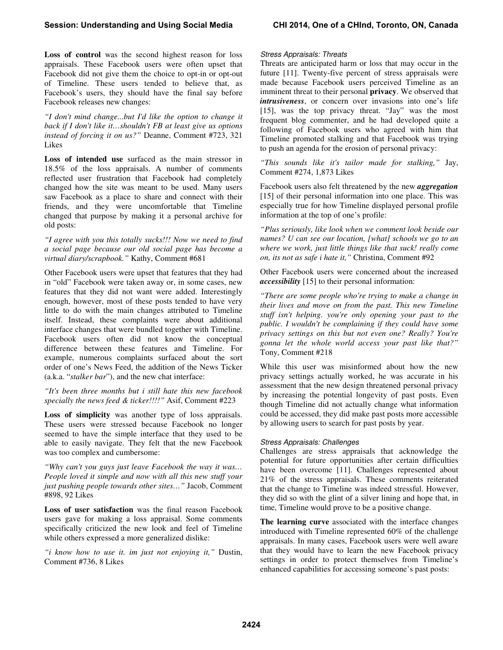**Loss of control** was the second highest reason for loss appraisals. These Facebook users were often upset that Facebook did not give them the choice to opt-in or opt-out of Timeline. These users tended to believe that, as Facebook's users, they should have the final say before Facebook releases new changes:

*"I don't mind change...but I'd like the option to change it back if I don't like it…shouldn't FB at least give us options instead of forcing it on us?"* Deanne, Comment #723, 321 Likes

**Loss of intended use** surfaced as the main stressor in 18.5% of the loss appraisals. A number of comments reflected user frustration that Facebook had completely changed how the site was meant to be used. Many users saw Facebook as a place to share and connect with their friends, and they were uncomfortable that Timeline changed that purpose by making it a personal archive for old posts:

*"I agree with you this totally sucks!!! Now we need to find a social page because our old social page has become a virtual diary/scrapbook."* Kathy, Comment #681

Other Facebook users were upset that features that they had in "old" Facebook were taken away or, in some cases, new features that they did not want were added. Interestingly enough, however, most of these posts tended to have very little to do with the main changes attributed to Timeline itself. Instead, these complaints were about additional interface changes that were bundled together with Timeline. Facebook users often did not know the conceptual difference between these features and Timeline. For example, numerous complaints surfaced about the sort order of one's News Feed, the addition of the News Ticker (a.k.a. "*stalker bar*"), and the new chat interface:

*"It's been three months but i still hate this new facebook specially the news feed & ticker!!!!"* Asif, Comment #223

**Loss of simplicity** was another type of loss appraisals. These users were stressed because Facebook no longer seemed to have the simple interface that they used to be able to easily navigate. They felt that the new Facebook was too complex and cumbersome:

*"Why can't you guys just leave Facebook the way it was… People loved it simple and now with all this new stuff your just pushing people towards other sites…"* Jacob, Comment #898, 92 Likes

**Loss of user satisfaction** was the final reason Facebook users gave for making a loss appraisal. Some comments specifically criticized the new look and feel of Timeline while others expressed a more generalized dislike:

*"i know how to use it. im just not enjoying it,"* Dustin, Comment #736, 8 Likes

# Stress Appraisals: Threats

Threats are anticipated harm or loss that may occur in the future [11]. Twenty-five percent of stress appraisals were made because Facebook users perceived Timeline as an imminent threat to their personal **privacy**. We observed that *intrusiveness*, or concern over invasions into one's life [15], was the top privacy threat. "Jay" was the most frequent blog commenter, and he had developed quite a following of Facebook users who agreed with him that Timeline promoted stalking and that Facebook was trying to push an agenda for the erosion of personal privacy:

*"This sounds like it's tailor made for stalking,"* Jay, Comment #274, 1,873 Likes

Facebook users also felt threatened by the new *aggregation*  [15] of their personal information into one place. This was especially true for how Timeline displayed personal profile information at the top of one's profile:

*"Plus seriously, like look when we comment look beside our names? U can see our location, [what] schools we go to an where we work, just little things like that suck! really come on, its not as safe i hate it,"* Christina, Comment #92

Other Facebook users were concerned about the increased *accessibility* [15] to their personal information:

*"There are some people who're trying to make a change in their lives and move on from the past. This new Timeline stuff isn't helping. you're only opening your past to the public. I wouldn't be complaining if they could have some privacy settings on this but not even one? Really? You're gonna let the whole world access your past like that?"* Tony, Comment #218

While this user was misinformed about how the new privacy settings actually worked, he was accurate in his assessment that the new design threatened personal privacy by increasing the potential longevity of past posts. Even though Timeline did not actually change what information could be accessed, they did make past posts more accessible by allowing users to search for past posts by year.

# Stress Appraisals: Challenges

Challenges are stress appraisals that acknowledge the potential for future opportunities after certain difficulties have been overcome [11]. Challenges represented about 21% of the stress appraisals. These comments reiterated that the change to Timeline was indeed stressful. However, they did so with the glint of a silver lining and hope that, in time, Timeline would prove to be a positive change.

**The learning curve** associated with the interface changes introduced with Timeline represented 60% of the challenge appraisals. In many cases, Facebook users were well aware that they would have to learn the new Facebook privacy settings in order to protect themselves from Timeline's enhanced capabilities for accessing someone's past posts: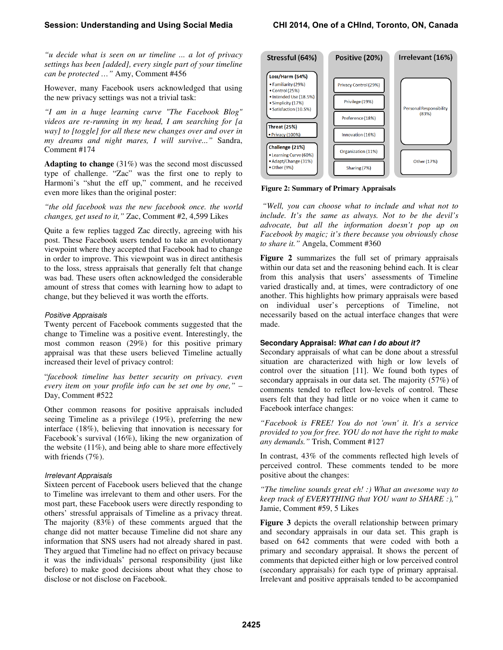*"u decide what is seen on ur timeline ... a lot of privacy settings has been [added], every single part of your timeline can be protected …"* Amy, Comment #456

However, many Facebook users acknowledged that using the new privacy settings was not a trivial task:

*"I am in a huge learning curve "The Facebook Blog" videos are re-running in my head, I am searching for [a way] to [toggle] for all these new changes over and over in my dreams and night mares, I will survive..."* Sandra, Comment #174

**Adapting to change** (31%) was the second most discussed type of challenge. "Zac" was the first one to reply to Harmoni's "shut the eff up," comment, and he received even more likes than the original poster:

*"the old facebook was the new facebook once. the world changes, get used to it,"* Zac, Comment #2, 4,599 Likes

Quite a few replies tagged Zac directly, agreeing with his post. These Facebook users tended to take an evolutionary viewpoint where they accepted that Facebook had to change in order to improve. This viewpoint was in direct antithesis to the loss, stress appraisals that generally felt that change was bad. These users often acknowledged the considerable amount of stress that comes with learning how to adapt to change, but they believed it was worth the efforts.

#### Positive Appraisals

Twenty percent of Facebook comments suggested that the change to Timeline was a positive event. Interestingly, the most common reason (29%) for this positive primary appraisal was that these users believed Timeline actually increased their level of privacy control:

"*facebook timeline has better security on privacy. even every item on your profile info can be set one by one,"* – Day, Comment #522

Other common reasons for positive appraisals included seeing Timeline as a privilege (19%), preferring the new interface (18%), believing that innovation is necessary for Facebook's survival (16%), liking the new organization of the website (11%), and being able to share more effectively with friends (7%).

#### Irrelevant Appraisals

Sixteen percent of Facebook users believed that the change to Timeline was irrelevant to them and other users. For the most part, these Facebook users were directly responding to others' stressful appraisals of Timeline as a privacy threat. The majority (83%) of these comments argued that the change did not matter because Timeline did not share any information that SNS users had not already shared in past. They argued that Timeline had no effect on privacy because it was the individuals' personal responsibility (just like before) to make good decisions about what they chose to disclose or not disclose on Facebook.



**Figure 2: Summary of Primary Appraisals** 

 *"Well, you can choose what to include and what not to include. It's the same as always. Not to be the devil's advocate, but all the information doesn't pop up on Facebook by magic; it's there because you obviously chose to share it."* Angela, Comment #360

**Figure 2** summarizes the full set of primary appraisals within our data set and the reasoning behind each. It is clear from this analysis that users' assessments of Timeline varied drastically and, at times, were contradictory of one another. This highlights how primary appraisals were based on individual user's perceptions of Timeline, not necessarily based on the actual interface changes that were made.

## **Secondary Appraisal: What can I do about it?**

Secondary appraisals of what can be done about a stressful situation are characterized with high or low levels of control over the situation [11]. We found both types of secondary appraisals in our data set. The majority (57%) of comments tended to reflect low-levels of control. These users felt that they had little or no voice when it came to Facebook interface changes:

*"Facebook is FREE! You do not 'own' it. It's a service provided to you for free. YOU do not have the right to make any demands."* Trish, Comment #127

In contrast, 43% of the comments reflected high levels of perceived control. These comments tended to be more positive about the changes:

*"The timeline sounds great eh! :) What an awesome way to keep track of EVERYTHING that YOU want to SHARE :),"* Jamie, Comment #59, 5 Likes

**Figure 3** depicts the overall relationship between primary and secondary appraisals in our data set. This graph is based on 642 comments that were coded with both a primary and secondary appraisal. It shows the percent of comments that depicted either high or low perceived control (secondary appraisals) for each type of primary appraisal. Irrelevant and positive appraisals tended to be accompanied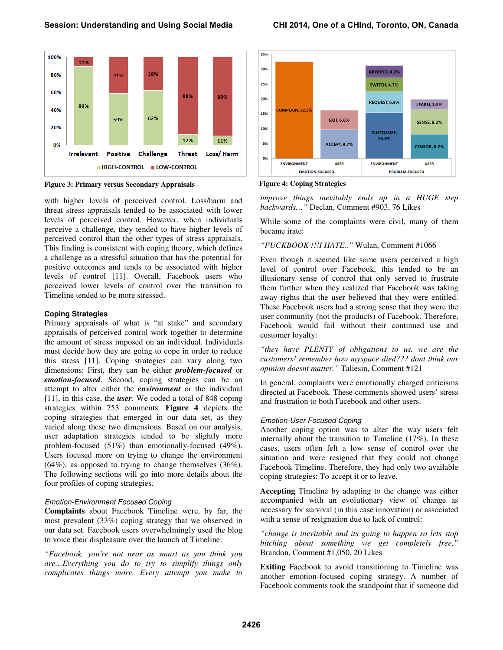

**Figure 3: Primary versus Secondary Appraisals** 

with higher levels of perceived control. Loss/harm and threat stress appraisals tended to be associated with lower levels of perceived control. However, when individuals perceive a challenge, they tended to have higher levels of perceived control than the other types of stress appraisals. This finding is consistent with coping theory, which defines a challenge as a stressful situation that has the potential for positive outcomes and tends to be associated with higher levels of control [11]. Overall, Facebook users who perceived lower levels of control over the transition to Timeline tended to be more stressed.

# **Coping Strategies**

Primary appraisals of what is "at stake" and secondary appraisals of perceived control work together to determine the amount of stress imposed on an individual. Individuals must decide how they are going to cope in order to reduce this stress [11]. Coping strategies can vary along two dimensions: First, they can be either *problem-focused* or *emotion-focused*. Second, coping strategies can be an attempt to alter either the *environment* or the individual [11], in this case, the *user*. We coded a total of 848 coping strategies within 753 comments. **Figure 4** depicts the coping strategies that emerged in our data set, as they varied along these two dimensions. Based on our analysis, user adaptation strategies tended to be slightly more problem-focused (51%) than emotionally-focused (49%). Users focused more on trying to change the environment (64%), as opposed to trying to change themselves (36%). The following sections will go into more details about the four profiles of coping strategies.

# Emotion-Environment Focused Coping

**Complaints** about Facebook Timeline were, by far, the most prevalent (33%) coping strategy that we observed in our data set. Facebook users overwhelmingly used the blog to voice their displeasure over the launch of Timeline:

*"Facebook, you're not near as smart as you think you are…Everything you do to try to simplify things only complicates things more. Every attempt you make to* 



**Figure 4: Coping Strategies** 

*improve things inevitably ends up in a HUGE step backwards…"* Declan, Comment #903, 76 Likes

While some of the complaints were civil, many of them became irate:

*"FUCKBOOK !!!I HATE.."* Wulan, Comment #1066

Even though it seemed like some users perceived a high level of control over Facebook, this tended to be an illusionary sense of control that only served to frustrate them further when they realized that Facebook was taking away rights that the user believed that they were entitled. These Facebook users had a strong sense that they were the user community (not the products) of Facebook. Therefore, Facebook would fail without their continued use and customer loyalty:

*"they have PLENTY of obligations to us. we are the customers! remember how myspace died??? dont think our opinion doesnt matter."* Taliesin, Comment #121

In general, complaints were emotionally charged criticisms directed at Facebook. These comments showed users' stress and frustration to both Facebook and other users.

# Emotion-User Focused Coping

Another coping option was to alter the way users felt internally about the transition to Timeline (17%). In these cases, users often felt a low sense of control over the situation and were resigned that they could not change Facebook Timeline. Therefore, they had only two available coping strategies: To accept it or to leave.

**Accepting** Timeline by adapting to the change was either accompanied with an evolutionary view of change as necessary for survival (in this case innovation) or associated with a sense of resignation due to lack of control:

*"change is inevitable and its going to happen so lets stop bitching about something we get completely free,"* Brandon, Comment #1,050, 20 Likes

**Exiting** Facebook to avoid transitioning to Timeline was another emotion-focused coping strategy. A number of Facebook comments took the standpoint that if someone did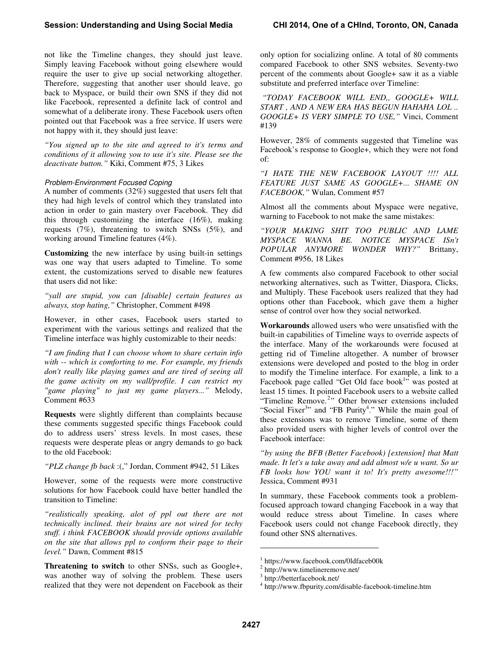not like the Timeline changes, they should just leave. Simply leaving Facebook without going elsewhere would require the user to give up social networking altogether. Therefore, suggesting that another user should leave, go back to Myspace, or build their own SNS if they did not like Facebook, represented a definite lack of control and somewhat of a deliberate irony. These Facebook users often pointed out that Facebook was a free service. If users were not happy with it, they should just leave:

*"You signed up to the site and agreed to it's terms and conditions of it allowing you to use it's site. Please see the deactivate button."* Kiki, Comment #75, 3 Likes

#### Problem-Environment Focused Coping

A number of comments (32%) suggested that users felt that they had high levels of control which they translated into action in order to gain mastery over Facebook. They did this through customizing the interface (16%), making requests (7%), threatening to switch SNSs (5%), and working around Timeline features (4%).

**Customizing** the new interface by using built-in settings was one way that users adapted to Timeline. To some extent, the customizations served to disable new features that users did not like:

*"yall are stupid, you can [disable] certain features as always, stop hating,"* Christopher, Comment #498

However, in other cases, Facebook users started to experiment with the various settings and realized that the Timeline interface was highly customizable to their needs:

*"I am finding that I can choose whom to share certain info with -- which is comforting to me. For example, my friends don't really like playing games and are tired of seeing all the game activity on my wall/profile. I can restrict my "game playing" to just my game players..."* Melody, Comment #633

**Requests** were slightly different than complaints because these comments suggested specific things Facebook could do to address users' stress levels. In most cases, these requests were desperate pleas or angry demands to go back to the old Facebook:

*"PLZ change fb back* :(," Jordan, Comment #942, 51 Likes

However, some of the requests were more constructive solutions for how Facebook could have better handled the transition to Timeline:

*"realistically speaking, alot of ppl out there are not technically inclined. their brains are not wired for techy stuff. i think FACEBOOK should provide options available on the site that allows ppl to conform their page to their level."* Dawn, Comment #815

**Threatening to switch** to other SNSs, such as Google+, was another way of solving the problem. These users realized that they were not dependent on Facebook as their only option for socializing online. A total of 80 comments compared Facebook to other SNS websites. Seventy-two percent of the comments about Google+ saw it as a viable substitute and preferred interface over Timeline:

*"TODAY FACEBOOK WILL END,, GOOGLE+ WILL START , AND A NEW ERA HAS BEGUN HAHAHA LOL .. GOOGLE+ IS VERY SIMPLE TO USE,"* Vinci, Comment #139

However, 28% of comments suggested that Timeline was Facebook's response to Google+, which they were not fond of:

*"I HATE THE NEW FACEBOOK LAYOUT !!!! ALL FEATURE JUST SAME AS GOOGLE+... SHAME ON FACEBOOK,"* Wulan, Comment #57

Almost all the comments about Myspace were negative, warning to Facebook to not make the same mistakes:

*"YOUR MAKING SHIT TOO PUBLIC AND LAME MYSPACE WANNA BE. NOTICE MYSPACE ISn't POPULAR ANYMORE WONDER WHY?"* Brittany, Comment #956, 18 Likes

A few comments also compared Facebook to other social networking alternatives, such as Twitter, Diaspora, Clicks, and Multiply. These Facebook users realized that they had options other than Facebook, which gave them a higher sense of control over how they social networked.

**Workarounds** allowed users who were unsatisfied with the built-in capabilities of Timeline ways to override aspects of the interface. Many of the workarounds were focused at getting rid of Timeline altogether. A number of browser extensions were developed and posted to the blog in order to modify the Timeline interface. For example, a link to a Facebook page called "Get Old face book<sup>1,</sup>" was posted at least 15 times. It pointed Facebook users to a website called "Timeline Remove.<sup>2</sup>" Other browser extensions included "Social Fixer<sup>3</sup>" and "FB Purity<sup>4</sup>." While the main goal of these extensions was to remove Timeline, some of them also provided users with higher levels of control over the Facebook interface:

*"by using the BFB (Better Facebook) [extension] that Matt made. It let's u take away and add almost w/e u want. So ur FB looks how YOU want it to! It's pretty awesome!!!"* Jessica, Comment #931

In summary, these Facebook comments took a problemfocused approach toward changing Facebook in a way that would reduce stress about Timeline. In cases where Facebook users could not change Facebook directly, they found other SNS alternatives.

1

<sup>1</sup> https://www.facebook.com/0ldfaceb00k

<sup>&</sup>lt;sup>2</sup> http://www.timelineremove.net/

<sup>3</sup> http://betterfacebook.net/

<sup>4</sup> http://www.fbpurity.com/disable-facebook-timeline.htm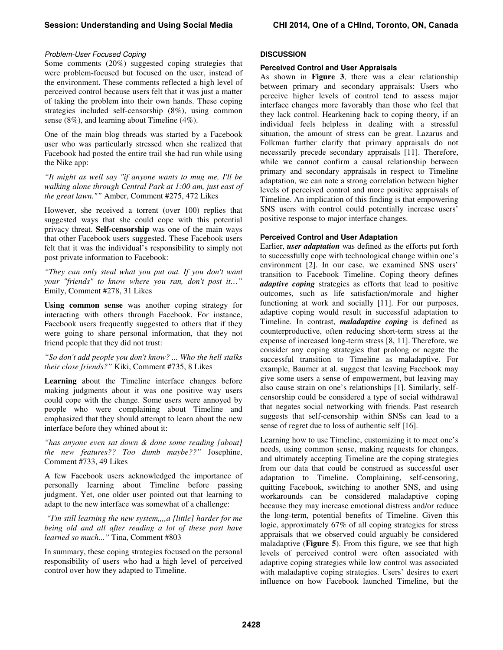# Problem-User Focused Coping

Some comments (20%) suggested coping strategies that were problem-focused but focused on the user, instead of the environment. These comments reflected a high level of perceived control because users felt that it was just a matter of taking the problem into their own hands. These coping strategies included self-censorship (8%), using common sense (8%), and learning about Timeline (4%).

One of the main blog threads was started by a Facebook user who was particularly stressed when she realized that Facebook had posted the entire trail she had run while using the Nike app:

*"It might as well say "if anyone wants to mug me, I'll be walking alone through Central Park at 1:00 am, just east of the great lawn.""* Amber, Comment #275, 472 Likes

However, she received a torrent (over 100) replies that suggested ways that she could cope with this potential privacy threat. **Self-censorship** was one of the main ways that other Facebook users suggested. These Facebook users felt that it was the individual's responsibility to simply not post private information to Facebook:

*"They can only steal what you put out. If you don't want your "friends" to know where you ran, don't post it…"* Emily, Comment #278, 31 Likes

**Using common sense** was another coping strategy for interacting with others through Facebook. For instance, Facebook users frequently suggested to others that if they were going to share personal information, that they not friend people that they did not trust:

*"So don't add people you don't know? ... Who the hell stalks their close friends?"* Kiki, Comment #735, 8 Likes

**Learning** about the Timeline interface changes before making judgments about it was one positive way users could cope with the change. Some users were annoyed by people who were complaining about Timeline and emphasized that they should attempt to learn about the new interface before they whined about it:

*"has anyone even sat down & done some reading [about] the new features?? Too dumb maybe??"* Josephine, Comment #733, 49 Likes

A few Facebook users acknowledged the importance of personally learning about Timeline before passing judgment. Yet, one older user pointed out that learning to adapt to the new interface was somewhat of a challenge:

 *"I'm still learning the new system,,,,a [little] harder for me being old and all after reading a lot of these post have learned so much..."* Tina, Comment #803

In summary, these coping strategies focused on the personal responsibility of users who had a high level of perceived control over how they adapted to Timeline.

## **DISCUSSION**

# **Perceived Control and User Appraisals**

As shown in **Figure 3**, there was a clear relationship between primary and secondary appraisals: Users who perceive higher levels of control tend to assess major interface changes more favorably than those who feel that they lack control. Hearkening back to coping theory, if an individual feels helpless in dealing with a stressful situation, the amount of stress can be great. Lazarus and Folkman further clarify that primary appraisals do not necessarily precede secondary appraisals [11]. Therefore, while we cannot confirm a causal relationship between primary and secondary appraisals in respect to Timeline adaptation, we can note a strong correlation between higher levels of perceived control and more positive appraisals of Timeline. An implication of this finding is that empowering SNS users with control could potentially increase users' positive response to major interface changes.

# **Perceived Control and User Adaptation**

Earlier, *user adaptation* was defined as the efforts put forth to successfully cope with technological change within one's environment [2]. In our case, we examined SNS users' transition to Facebook Timeline. Coping theory defines *adaptive coping* strategies as efforts that lead to positive outcomes, such as life satisfaction/morale and higher functioning at work and socially [11]. For our purposes, adaptive coping would result in successful adaptation to Timeline. In contrast, *maladaptive coping* is defined as counterproductive, often reducing short-term stress at the expense of increased long-term stress [8, 11]. Therefore, we consider any coping strategies that prolong or negate the successful transition to Timeline as maladaptive. For example, Baumer at al. suggest that leaving Facebook may give some users a sense of empowerment, but leaving may also cause strain on one's relationships [1]. Similarly, selfcensorship could be considered a type of social withdrawal that negates social networking with friends. Past research suggests that self-censorship within SNSs can lead to a sense of regret due to loss of authentic self [16].

Learning how to use Timeline, customizing it to meet one's needs, using common sense, making requests for changes, and ultimately accepting Timeline are the coping strategies from our data that could be construed as successful user adaptation to Timeline. Complaining, self-censoring, quitting Facebook, switching to another SNS, and using workarounds can be considered maladaptive coping because they may increase emotional distress and/or reduce the long-term, potential benefits of Timeline. Given this logic, approximately 67% of all coping strategies for stress appraisals that we observed could arguably be considered maladaptive (**Figure 5**). From this figure, we see that high levels of perceived control were often associated with adaptive coping strategies while low control was associated with maladaptive coping strategies. Users' desires to exert influence on how Facebook launched Timeline, but the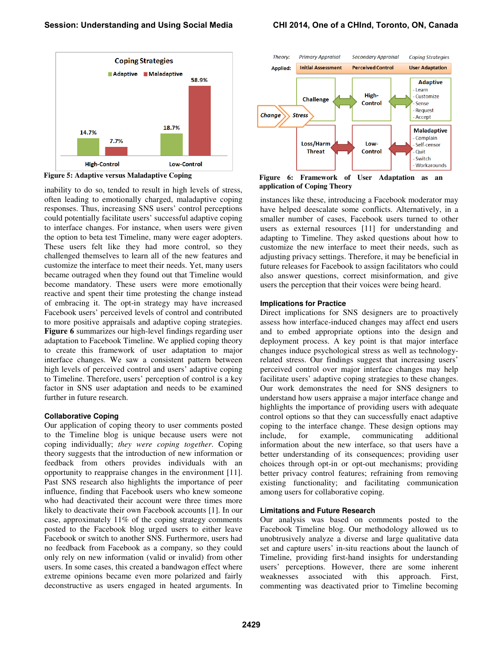

inability to do so, tended to result in high levels of stress, often leading to emotionally charged, maladaptive coping responses. Thus, increasing SNS users' control perceptions could potentially facilitate users' successful adaptive coping to interface changes. For instance, when users were given the option to beta test Timeline, many were eager adopters. These users felt like they had more control, so they challenged themselves to learn all of the new features and customize the interface to meet their needs. Yet, many users became outraged when they found out that Timeline would become mandatory. These users were more emotionally reactive and spent their time protesting the change instead of embracing it. The opt-in strategy may have increased Facebook users' perceived levels of control and contributed to more positive appraisals and adaptive coping strategies. **Figure 6** summarizes our high-level findings regarding user adaptation to Facebook Timeline. We applied coping theory to create this framework of user adaptation to major interface changes. We saw a consistent pattern between high levels of perceived control and users' adaptive coping to Timeline. Therefore, users' perception of control is a key factor in SNS user adaptation and needs to be examined further in future research.

## **Collaborative Coping**

Our application of coping theory to user comments posted to the Timeline blog is unique because users were not coping individually; *they were coping together*. Coping theory suggests that the introduction of new information or feedback from others provides individuals with an opportunity to reappraise changes in the environment [11]. Past SNS research also highlights the importance of peer influence, finding that Facebook users who knew someone who had deactivated their account were three times more likely to deactivate their own Facebook accounts [1]. In our case, approximately 11% of the coping strategy comments posted to the Facebook blog urged users to either leave Facebook or switch to another SNS. Furthermore, users had no feedback from Facebook as a company, so they could only rely on new information (valid or invalid) from other users. In some cases, this created a bandwagon effect where extreme opinions became even more polarized and fairly deconstructive as users engaged in heated arguments. In



Figure 5: Adaptive versus Maladaptive Coping Figure 6: Framework of User Adaptation as an **application of Coping Theory** 

instances like these, introducing a Facebook moderator may have helped deescalate some conflicts. Alternatively, in a smaller number of cases, Facebook users turned to other users as external resources [11] for understanding and adapting to Timeline. They asked questions about how to customize the new interface to meet their needs, such as adjusting privacy settings. Therefore, it may be beneficial in future releases for Facebook to assign facilitators who could also answer questions, correct misinformation, and give users the perception that their voices were being heard.

#### **Implications for Practice**

Direct implications for SNS designers are to proactively assess how interface-induced changes may affect end users and to embed appropriate options into the design and deployment process. A key point is that major interface changes induce psychological stress as well as technologyrelated stress. Our findings suggest that increasing users' perceived control over major interface changes may help facilitate users' adaptive coping strategies to these changes. Our work demonstrates the need for SNS designers to understand how users appraise a major interface change and highlights the importance of providing users with adequate control options so that they can successfully enact adaptive coping to the interface change. These design options may include, for example, communicating additional information about the new interface, so that users have a better understanding of its consequences; providing user choices through opt-in or opt-out mechanisms; providing better privacy control features; refraining from removing existing functionality; and facilitating communication among users for collaborative coping.

#### **Limitations and Future Research**

Our analysis was based on comments posted to the Facebook Timeline blog. Our methodology allowed us to unobtrusively analyze a diverse and large qualitative data set and capture users' in-situ reactions about the launch of Timeline, providing first-hand insights for understanding users' perceptions. However, there are some inherent weaknesses associated with this approach. First, commenting was deactivated prior to Timeline becoming